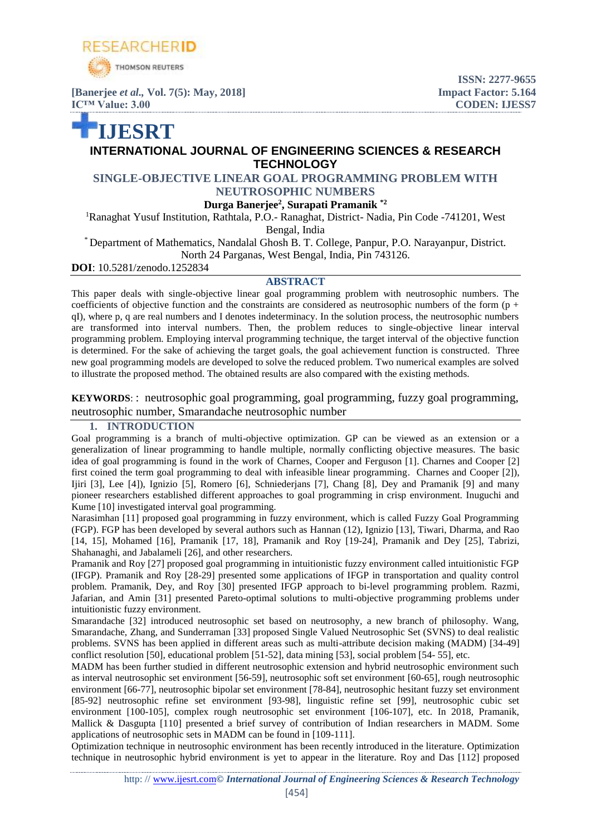

**[Banerjee** *et al.,* **Vol. 7(5): May, 2018] Impact Factor: 5.164 IC<sup>™</sup> Value: 3.00 CODEN: IJESS7** 

# **IJESRT INTERNATIONAL JOURNAL OF ENGINEERING SCIENCES & RESEARCH TECHNOLOGY**

**ISSN: 2277-9655**

## **SINGLE-OBJECTIVE LINEAR GOAL PROGRAMMING PROBLEM WITH NEUTROSOPHIC NUMBERS**

**Durga Banerjee<sup>2</sup> , Surapati Pramanik \*2**

<sup>1</sup>Ranaghat Yusuf Institution, Rathtala, P.O.- Ranaghat, District- Nadia, Pin Code -741201, West Bengal, India

\* Department of Mathematics, Nandalal Ghosh B. T. College, Panpur, P.O. Narayanpur, District. North 24 Parganas, West Bengal, India, Pin 743126.

**DOI**: 10.5281/zenodo.1252834

### **ABSTRACT**

This paper deals with single-objective linear goal programming problem with neutrosophic numbers. The coefficients of objective function and the constraints are considered as neutrosophic numbers of the form  $(p +$ qI), where p, q are real numbers and I denotes indeterminacy. In the solution process, the neutrosophic numbers are transformed into interval numbers. Then, the problem reduces to single-objective linear interval programming problem. Employing interval programming technique, the target interval of the objective function is determined. For the sake of achieving the target goals, the goal achievement function is constructed. Three new goal programming models are developed to solve the reduced problem. Two numerical examples are solved to illustrate the proposed method. The obtained results are also compared with the existing methods.

**KEYWORDS**:: neutrosophic goal programming, goal programming, fuzzy goal programming, neutrosophic number, Smarandache neutrosophic number

#### **1. INTRODUCTION**

Goal programming is a branch of multi-objective optimization. GP can be viewed as an extension or a generalization of linear programming to handle multiple, normally conflicting objective measures. The basic idea of goal programming is found in the work of Charnes, Cooper and Ferguson [1]. Charnes and Cooper [2] first coined the term goal programming to deal with infeasible linear programming. Charnes and Cooper [2]), Ijiri [3], Lee [4]), Ignizio [5], Romero [6], Schniederjans [7], Chang [8], Dey and Pramanik [9] and many pioneer researchers established different approaches to goal programming in crisp environment. Inuguchi and Kume [10] investigated interval goal programming.

Narasimhan [11] proposed goal programming in fuzzy environment, which is called Fuzzy Goal Programming (FGP). FGP has been developed by several authors such as Hannan (12), Ignizio [13], Tiwari, Dharma, and Rao [14, 15], Mohamed [16], Pramanik [17, 18], Pramanik and Roy [19-24], Pramanik and Dey [25], Tabrizi, Shahanaghi, and Jabalameli [26], and other researchers.

Pramanik and Roy [27] proposed goal programming in intuitionistic fuzzy environment called intuitionistic FGP (IFGP). Pramanik and Roy [28-29] presented some applications of IFGP in transportation and quality control problem. Pramanik, Dey, and Roy [30] presented IFGP approach to bi-level programming problem. [Razmi,](http://www.sciencedirect.com/science/article/pii/S0957417416304481#!) Jafarian, and Amin [31] presented Pareto-optimal solutions to multi-objective programming problems under intuitionistic fuzzy environment.

Smarandache [32] introduced neutrosophic set based on neutrosophy, a new branch of philosophy. Wang, Smarandache, Zhang, and Sunderraman [33] proposed Single Valued Neutrosophic Set (SVNS) to deal realistic problems. SVNS has been applied in different areas such as multi-attribute decision making (MADM) [34-49] conflict resolution [50], educational problem [51-52], data mining [53], social problem [54- 55], etc.

MADM has been further studied in different neutrosophic extension and hybrid neutrosophic environment such as interval neutrosophic set environment [56-59], neutrosophic soft set environment [60-65], rough neutrosophic environment [66-77], neutrosophic bipolar set environment [78-84], neutrosophic hesitant fuzzy set environment [85-92] neutrosophic refine set environment [93-98], linguistic refine set [99], neutrosophic cubic set environment [100-105], complex rough neutrosophic set environment [106-107], etc. In 2018, Pramanik, Mallick & Dasgupta [110] presented a brief survey of contribution of Indian researchers in MADM. Some applications of neutrosophic sets in MADM can be found in [109-111].

Optimization technique in neutrosophic environment has been recently introduced in the literature. Optimization technique in neutrosophic hybrid environment is yet to appear in the literature. Roy and Das [112] proposed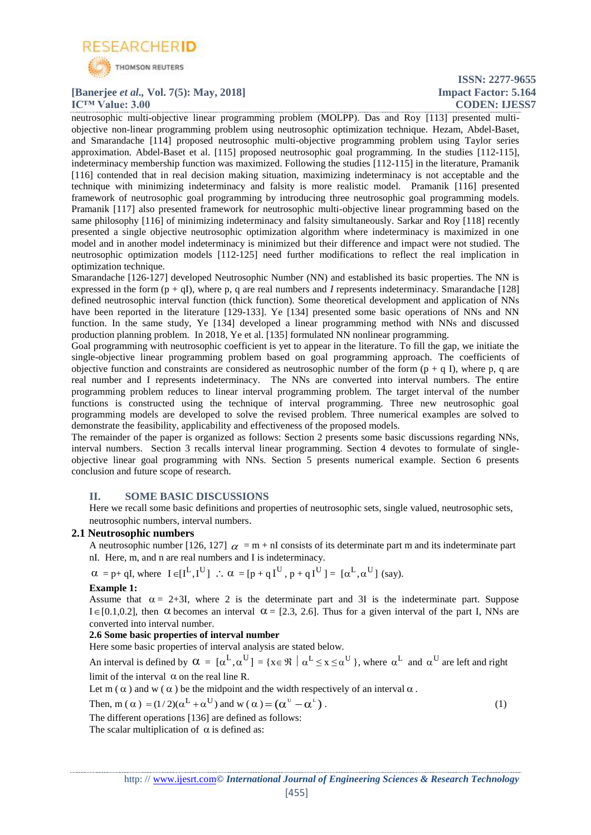

#### **[Banerjee** *et al.,* **Vol. 7(5): May, 2018] Impact Factor: 5.164 IC<sup>™</sup> Value: 3.00 CODEN: IJESS7**

**ISSN: 2277-9655**

neutrosophic multi-objective linear programming problem (MOLPP). Das and Roy [113] presented multiobjective non-linear programming problem using neutrosophic optimization technique. Hezam, Abdel-Baset, and Smarandache [114] proposed neutrosophic multi-objective programming problem using Taylor series approximation. Abdel-Baset et al. [115] proposed neutrosophic goal programming. In the studies [112-115], indeterminacy membership function was maximized. Following the studies [112-115] in the literature, Pramanik [116] contended that in real decision making situation, maximizing indeterminacy is not acceptable and the technique with minimizing indeterminacy and falsity is more realistic model. Pramanik [116] presented framework of neutrosophic goal programming by introducing three neutrosophic goal programming models. Pramanik [117] also presented framework for neutrosophic multi-objective linear programming based on the same philosophy [116] of minimizing indeterminacy and falsity simultaneously. Sarkar and Roy [118] recently presented a single objective neutrosophic optimization algorithm where indeterminacy is maximized in one model and in another model indeterminacy is minimized but their difference and impact were not studied. The neutrosophic optimization models [112-125] need further modifications to reflect the real implication in optimization technique.

Smarandache [126-127] developed Neutrosophic Number (NN) and established its basic properties. The NN is expressed in the form  $(p + qI)$ , where p, q are real numbers and *I* represents indeterminacy. Smarandache [128] defined neutrosophic interval function (thick function). Some theoretical development and application of NNs have been reported in the literature [129-133]. Ye [134] presented some basic operations of NNs and NN function. In the same study, Ye [134] developed a linear programming method with NNs and discussed production planning problem. In 2018, Ye et al. [135] formulated NN nonlinear programming.

Goal programming with neutrosophic coefficient is yet to appear in the literature. To fill the gap, we initiate the single-objective linear programming problem based on goal programming approach. The coefficients of objective function and constraints are considered as neutrosophic number of the form  $(p + q I)$ , where p, q are real number and I represents indeterminacy. The NNs are converted into interval numbers. The entire programming problem reduces to linear interval programming problem. The target interval of the number functions is constructed using the technique of interval programming. Three new neutrosophic goal programming models are developed to solve the revised problem. Three numerical examples are solved to demonstrate the feasibility, applicability and effectiveness of the proposed models.

The remainder of the paper is organized as follows: Section 2 presents some basic discussions regarding NNs, interval numbers. Section 3 recalls interval linear programming. Section 4 devotes to formulate of singleobjective linear goal programming with NNs. Section 5 presents numerical example. Section 6 presents conclusion and future scope of research.

## **II. SOME BASIC DISCUSSIONS**

Here we recall some basic definitions and properties of neutrosophic sets, single valued, neutrosophic sets, neutrosophic numbers, interval numbers.

## **2.1 Neutrosophic numbers**

A neutrosophic number [126, 127]  $\alpha = m + nI$  consists of its determinate part m and its indeterminate part nI*.* Here, m, and n are real numbers and I is indeterminacy.

$$
\alpha = p + qI
$$
, where  $I \in [I^L, I^U]$   $\therefore \alpha = [p + qI^U, p + qI^U] = [\alpha^L, \alpha^U]$  (say).

#### **Example 1:** Assume that  $\alpha = 2+3I$ , where 2 is the determinate part and 3I is the indeterminate part. Suppose  $I \in [0.1, 0.2]$ , then  $\alpha$  becomes an interval  $\alpha = [2.3, 2.6]$ . Thus for a given interval of the part I, NNs are converted into interval number.

# **2.6 Some basic properties of interval number**

Here some basic properties of interval analysis are stated below.

An interval is defined by  $\alpha = [\alpha^L, \alpha^U] = {\mathbf{x} \in \mathbb{R} \mid \alpha^L \leq \mathbf{x} \leq \alpha^U}$ , where  $\alpha^L$  and  $\alpha^U$  are left and right limit of the interval  $\alpha$  on the real line R.

Let m  $(\alpha)$  and w  $(\alpha)$  be the midpoint and the width respectively of an interval  $\alpha$ .

Then, m (
$$
\alpha
$$
) = (1/2)( $\alpha^L + \alpha^U$ ) and w ( $\alpha$ ) = ( $\alpha^U - \alpha^L$ ). (1)

The different operations [136] are defined as follows:

The scalar multiplication of  $\alpha$  is defined as: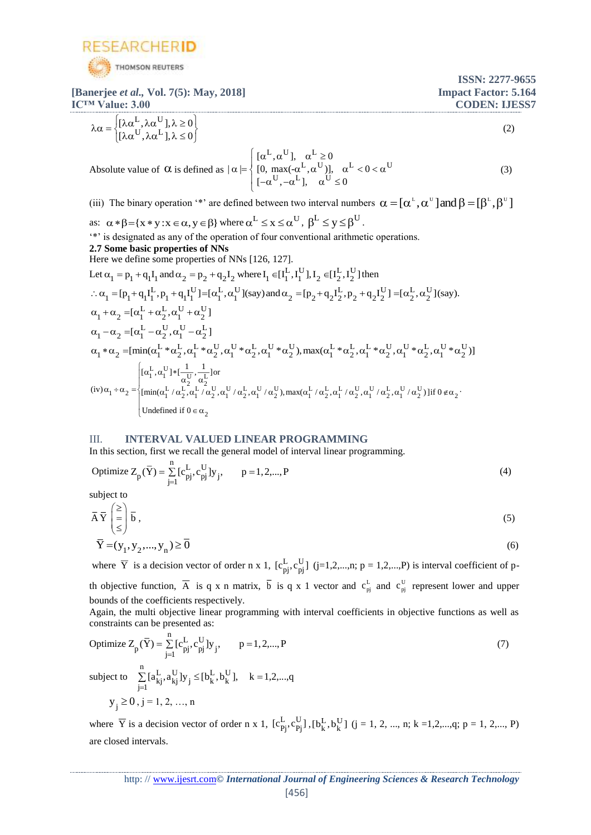

**ISSN: 2277-9655 [Banerjee** *et al.,* **Vol. 7(5): May, 2018] Impact Factor: 5.164 IC™ Value: 3.00 CODEN: IJESS7**  $L \sim U$  $[\lambda \alpha^\perp, \lambda \alpha^\cup], \lambda \geq 0$  $\lambda \alpha = \begin{cases} [\lambda \alpha^{\textrm{L}}, \lambda \alpha^{\textrm{U}}], \lambda \geq 0 \cr [\lambda \alpha^{\textrm{U}}, \lambda \alpha^{\textrm{L}}], \lambda \leq 0 \end{cases},$ (2)

Absolute value of 
$$
\alpha
$$
 is defined as  $|\alpha| = \begin{cases} [\alpha^L, \alpha^U], & \alpha^L \ge 0 \\ [0, \max(-\alpha^L, \alpha^U)], & \alpha^L < 0 < \alpha^U \\ [-\alpha^U, -\alpha^L], & \alpha^U \le 0 \end{cases}$  (3)

(iii) The binary operation '\*' are defined between two interval numbers  $\alpha = [\alpha^L, \alpha^U]$  and  $\beta = [\beta^L, \beta^U]$ 

as: 
$$
\alpha * \beta = \{x * y : x \in \alpha, y \in \beta\}
$$
 where  $\alpha^L \le x \le \alpha^U$ ,  $\beta^L \le y \le \beta^U$ .  
\n\*\*' is designated as any of the operation of four conventional arithmetic operations.  
\n**2.7 Some basic properties of NNs**  
\nHere we define some properties of NNs [126, 127].  
\nLet  $\alpha_1 = p_1 + q_1I_1$  and  $\alpha_2 = p_2 + q_2I_2$  where  $I_1 \in [I_1^L, I_1^U], I_2 \in [I_2^L, I_2^U]$  then  
\n $\therefore \alpha_1 = [p_1 + q_1I_1^L, p_1 + q_1I_1^U] = [\alpha_1^L, \alpha_1^U]$  (say) and  $\alpha_2 = [p_2 + q_2I_2^L, p_2 + q_2I_2^U] = [\alpha_2^L, \alpha_2^U]$  (say).  
\n $\alpha_1 + \alpha_2 = [\alpha_1^L + \alpha_2^L, \alpha_1^U + \alpha_2^U]$   
\n $\alpha_1 - \alpha_2 = [\alpha_1^L - \alpha_2^U, \alpha_1^U - \alpha_2^L]$   
\n $\alpha_1 * \alpha_2 = [\min(\alpha_1^L * \alpha_2^L, \alpha_1^L * \alpha_2^U, \alpha_1^U * \alpha_2^L, \alpha_1^U * \alpha_2^U), \max(\alpha_1^L * \alpha_2^L, \alpha_1^L * \alpha_2^U, \alpha_1^U * \alpha_2^L, \alpha_1^U * \alpha_2^U)]$   
\n $\alpha_1 * \alpha_2 = [\min(\alpha_1^L, \alpha_1^U) * [\frac{1}{\alpha_2^U}, \frac{1}{\alpha_2^L}]$  or  
\n $(iv)\alpha_1 + \alpha_2 = \begin{cases} [\alpha_1^L, \alpha_1^U] * [\frac{1}{\alpha_2^U}, \frac{1}{\alpha_2^L}] \\ [\min(\alpha_1^L / \alpha_2^L, \alpha_1^L / \alpha_2^U, \alpha_1^U / \alpha_2^L, \alpha_1^U / \alpha_2^U, \alpha_1^U / \alpha_2^L, \alpha_1^U / \alpha_2^U, \alpha_1$ 

#### III. **INTERVAL VALUED LINEAR PROGRAMMING**

In this section, first we recall the general model of interval linear programming.

Optimize 
$$
Z_p(\bar{Y}) = \sum_{j=1}^{n} [c_{pj}^{L}, c_{pj}^{U}] y_j
$$
,  $p = 1, 2, ..., P$  (4)

subject to

$$
\overline{A}\overline{Y}\begin{pmatrix} \geq \\ \equiv \\ \leq \end{pmatrix}\overline{b},
$$
\n
$$
\overline{Y}=(y_1, y_2, ..., y_n) \geq \overline{0}
$$
\n(6)

where  $\overline{Y}$  is a decision vector of order n x 1,  $[c_{pj}^L, c_{pj}^U]$  (j=1,2,...,n; p = 1,2,...,P) is interval coefficient of pth objective function,  $\overline{A}$  is q x n matrix,  $\overline{b}$  is q x 1 vector and  $c_{pi}^L$  and  $c_{pi}^U$  represent lower and upper bounds of the coefficients respectively.

Again, the multi objective linear programming with interval coefficients in objective functions as well as constraints can be presented as:

Optimize 
$$
Z_p(\bar{Y}) = \sum_{j=1}^{n} [c_{pj}^L, c_{pj}^U] y_j
$$
,  $p = 1, 2, ..., P$   
\nsubject to  $\sum_{j=1}^{n} [a_{kj}^L, a_{kj}^U] y_j \leq [b_k^L, b_k^U]$ ,  $k = 1, 2, ..., q$   
\n $y_j \geq 0, j = 1, 2, ..., n$  (7)

where  $\bar{Y}$  is a decision vector of order n x 1,  $[c_{Pj}^L, c_{Pj}^U]$ ,  $[b_k^L, b_k^U]$  (j = 1, 2, ..., n; k =1,2,...,q; p = 1, 2,..., P) are closed intervals.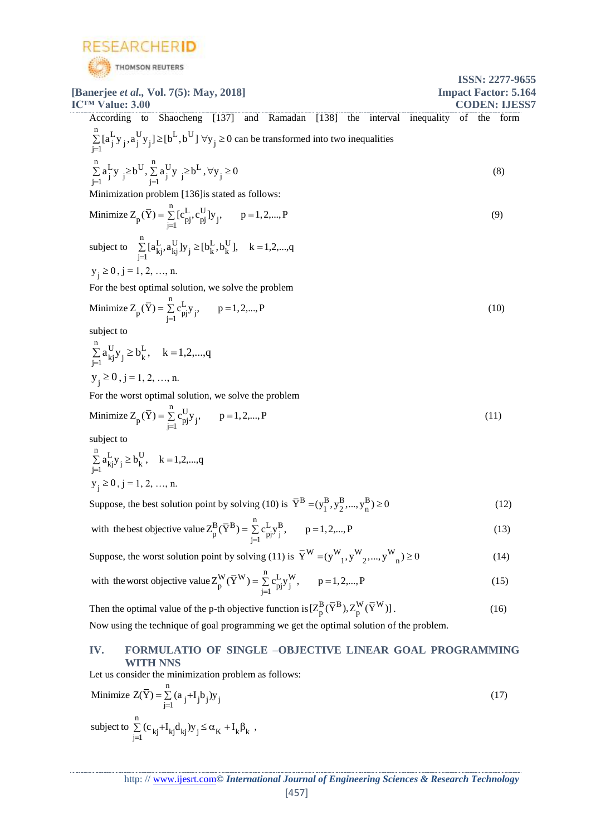

| <b>STATISTICS</b>                                                                                                | <b>ISSN: 2277-9655</b>                       |
|------------------------------------------------------------------------------------------------------------------|----------------------------------------------|
| [Banerjee <i>et al.</i> , Vol. 7(5): May, 2018]<br><b>ICTM Value: 3.00</b>                                       | <b>Impact Factor: 5.164</b><br>CODEN: LIESS7 |
| Shaocheng [137] and Ramadan [138]<br>interval<br>According to<br>the                                             | inequality<br>of<br>the form                 |
| $\sum_{i=1} [a_j^Ly_j, a_j^Uy_j] \geq [b^L, b^U] \; \forall y_j \geq 0$ can be transformed into two inequalities |                                              |
| $\sum_{i=1}^{n} a_j^L y_j \geq b^U$ , $\sum_{i=1}^{n} a_j^U y_j \geq b^L$ , $\forall y_j \geq 0$                 | (8)                                          |
| Minimization problem [136] is stated as follows:                                                                 |                                              |
| Minimize $Z_p(\bar{Y}) = \sum_{i=1}^{n} [c_{pj}^L, c_{pj}^U] y_j$ , $p = 1, 2, , P$                              | (9)                                          |
| subject to $\sum_{i=1}^{n} [a_{kj}^{L}, a_{kj}^{U}] y_j \geq [b_k^{L}, b_k^{U}], \quad k = 1, 2, , q$            |                                              |
| $y_i \ge 0$ , j = 1, 2, , n.                                                                                     |                                              |
| For the best optimal solution, we solve the problem                                                              |                                              |
| Minimize $Z_p(\bar{Y}) = \sum_{i=1}^{n} c_{pj}^{L} y_j$ , $p = 1, 2, , P$                                        | (10)                                         |
| subject to                                                                                                       |                                              |
| $\sum_{i=1}^{n} a_{kj}^{U} y_j \ge b_k^{L}$ , $k = 1, 2, , q$                                                    |                                              |
| $y_i \ge 0$ , j = 1, 2, , n.                                                                                     |                                              |
| For the worst optimal solution, we solve the problem                                                             |                                              |
| Minimize $Z_p(\bar{Y}) = \sum_{i=1}^{n} c_{pj}^U y_i$ , $p = 1, 2, , P$                                          | (11)                                         |
| subject to                                                                                                       |                                              |
| $\sum_{i=1}^{n} a_{kj}^{L} y_j \ge b_k^{U}$ , $k = 1, 2, , q$                                                    |                                              |
| $y_i \ge 0$ , j = 1, 2, , n.                                                                                     |                                              |
| Suppose, the best solution point by solving (10) is $\overline{Y}^B = (y_1^B, y_2^B, , y_n^B) \ge 0$             | (12)                                         |
| with the best objective value $Z_p^B(\overline{Y}^B) = \sum_{i=1}^n c_{pj}^L y_j^B$ , $p = 1, 2, , P$            | (13)                                         |
| Suppose, the worst solution point by solving (11) is $\overline{Y}^{W} = (y^{W}, y^{W}, , y^{W}) \ge 0$          | (14)                                         |
|                                                                                                                  |                                              |

with the worst objective value 
$$
Z_p^W(\overline{Y}^W) = \sum_{j=1}^n c_{pj}^L y_j^W
$$
,  $p = 1, 2, ..., P$  (15)

Then the optimal value of the p-th objective function is  $[Z^{\rm B}_{\rm b}, (Y^{\rm B}_{\rm b}), Z^{\rm W}_{\rm b}, (Y^{\rm W}_{\rm b})]$  $[Z_p^{\mathbf{B}}(Y^{\mathbf{B}}), Z_p^{\mathbf{W}}(Y^{\mathbf{W}})].$  (16) Now using the technique of goal programming we get the optimal solution of the problem.

## **IV. FORMULATIO OF SINGLE –OBJECTIVE LINEAR GOAL PROGRAMMING WITH NNS**

Let us consider the minimization problem as follows:

Minimize 
$$
Z(\overline{Y}) = \sum_{j=1}^{n} (a_j + I_j b_j) y_j
$$
  
\nsubject to  $\sum_{j=1}^{n} (c_{kj} + I_{kj} d_{kj}) y_j \le \alpha_K + I_k \beta_k$ , (17)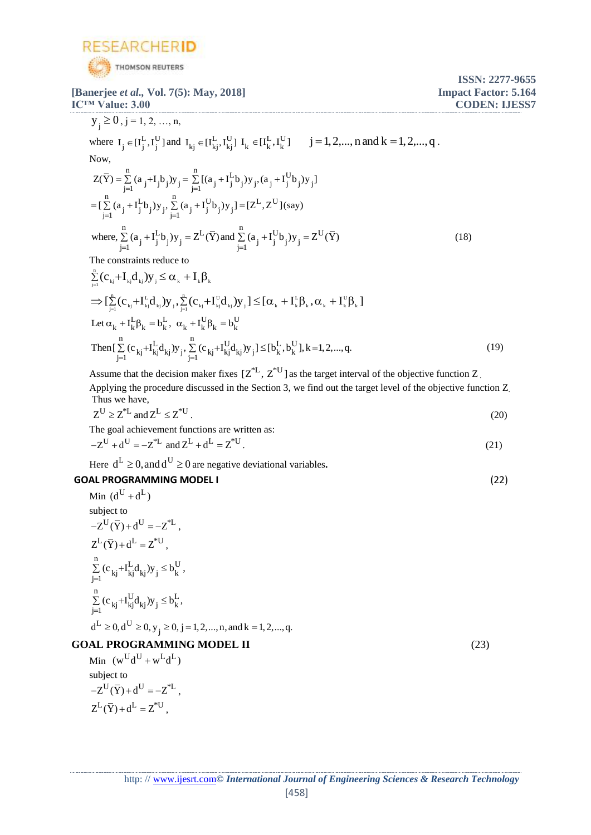

**[Banerjee** *et al.,* **Vol. 7(5): May, 2018] Impact Factor: 5.164 IC<sup>™</sup> Value: 3.00 CODEN: IJESS7** 

$$
y_{j} \ge 0, j = 1, 2, ..., n,
$$
  
\nwhere  $I_{j} \in [I_{j}^{L}, I_{j}^{U}]$  and  $I_{kj} \in [I_{kj}^{L}, I_{kj}^{U}]$   $I_{k} \in [I_{k}^{L}, I_{k}^{U}]$   $j = 1, 2, ..., n$  and  $k = 1, 2, ..., q$ .  
\nNow,  
\n
$$
Z(\overline{Y}) = \sum_{j=1}^{n} (a_{j} + I_{j}^{L}b_{j})y_{j} = \sum_{j=1}^{n} [(a_{j} + I_{j}^{L}b_{j})y_{j}, (a_{j} + I_{j}^{U}b_{j})y_{j}]
$$
\n
$$
= [\sum_{j=1}^{n} (a_{j} + I_{j}^{L}b_{j})y_{j}, \sum_{j=1}^{n} (a_{j} + I_{j}^{U}b_{j})y_{j}] = [Z^{L}, Z^{U}](say)
$$
\nwhere,  
\n
$$
\sum_{j=1}^{n} (a_{j} + I_{j}^{L}b_{j})y_{j} = Z^{L}(\overline{Y})
$$
 and 
$$
\sum_{j=1}^{n} (a_{j} + I_{j}^{U}b_{j})y_{j} = Z^{U}(\overline{Y})
$$
\nThe constraints reduce to  
\n
$$
\sum_{j=1}^{n} (c_{j} + I_{j}^{L}d_{j})y_{j} \le C_{i} + I_{j}^{R}
$$
\n(18)

$$
\sum_{j=1}^{n} (c_{kj} + I_{kj} d_{kj}) y_{j} \leq \alpha_{k} + I_{k} \beta_{k} \n\Rightarrow \left[ \sum_{j=1}^{n} (c_{kj} + I_{kj}^{L} d_{kj}) y_{j}, \sum_{j=1}^{n} (c_{kj} + I_{kj}^{U} d_{kj}) y_{j} \right] \leq \left[ \alpha_{k} + I_{k}^{L} \beta_{k}, \alpha_{k} + I_{k}^{U} \beta_{k} \right] \n\text{Let } \alpha_{k} + I_{k}^{L} \beta_{k} = b_{k}^{L}, \ \alpha_{k} + I_{k}^{U} \beta_{k} = b_{k}^{U} \n\text{Then} \left[ \sum_{j=1}^{n} (c_{kj} + I_{kj}^{L} d_{kj}) y_{j}, \sum_{j=1}^{n} (c_{kj} + I_{kj}^{U} d_{kj}) y_{j} \right] \leq \left[ b_{k}^{L}, b_{k}^{U} \right], k = 1, 2, ..., q.
$$
\n(19)

Assume that the decision maker fixes  $[Z^*L, Z^*U]$  as the target interval of the objective function Z.

Applying the procedure discussed in the Section 3, we find out the target level of the objective function Z. Thus we have,

$$
Z^U \ge Z^{*L} \text{ and } Z^L \le Z^{*U} \,. \tag{20}
$$

The goal achievement functions are written as:

$$
Z^{U} + d^{U} = -Z^{*L} \text{ and } Z^{L} + d^{L} = Z^{*U}.
$$
 (21)

Here  $d^L \geq 0$ , and  $d^U \geq 0$  are negative deviational variables.

# **GOAL PROGRAMMING MODEL I** (22)

Min 
$$
(d^U + d^L)
$$
  
\nsubject to  
\n $-Z^U(\overline{Y}) + d^U = -Z^{*L}$ ,  
\n $Z^L(\overline{Y}) + d^L = Z^{*U}$ ,  
\n $\sum_{j=1}^n (c_{kj} + I_{kj}^L d_{kj}) y_j \leq b_k^U$ ,  
\n $\sum_{j=1}^n (c_{kj} + I_{kj}^U d_{kj}) y_j \leq b_k^L$ ,  
\n $d^L \geq 0, d^U \geq 0, y_j \geq 0, j = 1, 2, ..., n, and k = 1, 2, ..., q$ .

## **GOAL PROGRAMMING MODEL II** (23)

Min  $(w^U d^U + w^L d^L)$ subject to  $-Z^{U}(\overline{Y})+d^{U}=-Z^{*L},$  $Z^L(\overline{Y}) + d^L = Z^{*U}$ ,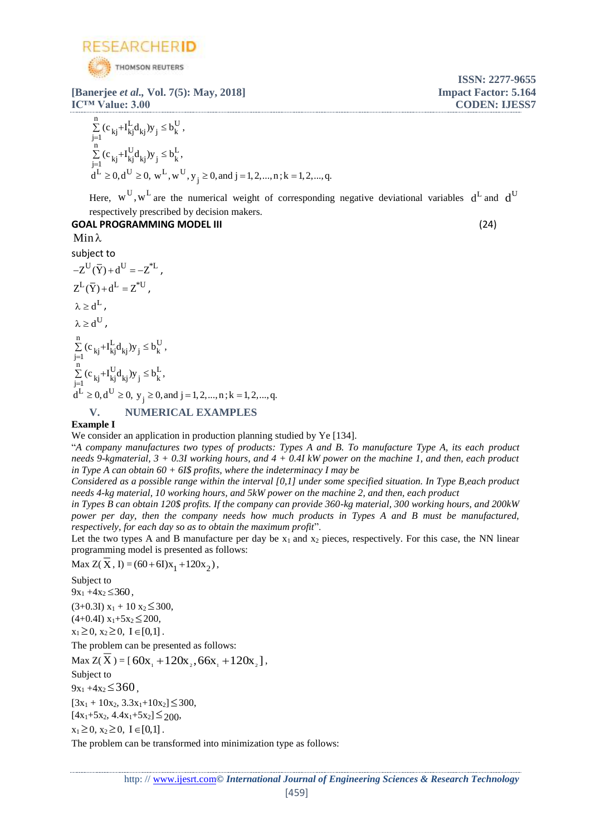

**[Banerjee** *et al.,* **Vol. 7(5): May, 2018] Impact Factor: 5.164 IC™ Value: 3.00 CODEN: IJESS7**

$$
\sum_{j=1}^{n} (c_{kj} + I_{kj}^{L} d_{kj}) y_{j} \leq b_{k}^{U},
$$
\n
$$
\sum_{j=1}^{n} (c_{kj} + I_{kj}^{U} d_{kj}) y_{j} \leq b_{k}^{L},
$$
\n
$$
d^{L} \geq 0, d^{U} \geq 0, w^{L}, w^{U}, y_{j} \geq 0, and j = 1, 2, ..., n; k = 1, 2, ..., q.
$$

Here,  $w^U, w^L$  are the numerical weight of corresponding negative deviational variables  $d^L$  and  $d^U$ respectively prescribed by decision makers.

# **GOAL PROGRAMMING MODEL III** (24)

**ISSN: 2277-9655**

# $Min \lambda$

subject to  $-Z^{U}(\bar{Y})+d^{U}=-Z^{*L}$ ,  $Z^L(\overline{Y}) + d^L = Z^{*U}$ ,  $\lambda \geq d^L$  ,  $\lambda \geq d^{\mathrm{U}}$  ,  $n$   $L_1$   $L_2$   $L_1$  $\sum_{j=1}^{\infty}$  ( $k$  kj  $k$  kj  $k$  kj  $y$  i  $y = 0$  k  $\frac{n}{D}$   $\left(\frac{1}{D}\right)$   $\frac{1}{D}$   $\frac{1}{D}$   $\frac{1}{D}$  $\sum_{j=1}^{\infty}$  ( $k$  kj  $k$  kj  $k$  kj  $y$  i  $y = 0$  k  $L \sim 10$  $d^L \ge 0, d^U \ge 0, y_j \ge 0, \text{ and } j = 1, 2, ..., n; k = 1, 2, ..., q.$  $\sum_{j=1}^{\infty} (c_{kj} + I_{kj}^{L} d_{kj}) y_{j} \leq b_{k}^{U}$ ,  $\sum_{i=1}$  (c <sub>kj</sub> + I<sub>kj</sub> d<sub>kj</sub>)y<sub>j</sub>  $\leq$  b<sub>k</sub><sup>1</sup>,  $\sum$  (c<sub>1zi</sub>+I<sub>1zi</sub>d<sub>1zi</sub>)y<sub>3</sub>  $\leq$ 

## **V. NUMERICAL EXAMPLES**

## **Example I**

We consider an application in production planning studied by Ye [134].

"*A company manufactures two types of products: Types A and B. To manufacture Type A, its each product needs 9-kgmaterial, 3 + 0.3I working hours, and 4 + 0.4I kW power on the machine 1, and then, each product in Type A can obtain 60 + 6I\$ profits, where the indeterminacy I may be*

*Considered as a possible range within the interval [0,1] under some specified situation. In Type B,each product needs 4-kg material, 10 working hours, and 5kW power on the machine 2, and then, each product* 

*in Types B can obtain 120\$ profits. If the company can provide 360-kg material, 300 working hours, and 200kW power per day, then the company needs how much products in Types A and B must be manufactured, respectively, for each day so as to obtain the maximum profit*".

Let the two types A and B manufacture per day be  $x_1$  and  $x_2$  pieces, respectively. For this case, the NN linear programming model is presented as follows:

Max  $Z(X, I) = (60+6I)x_1 + 120x_2$ ,

Subject to

 $9x_1 + 4x_2 \leq 360$ ,

 $(3+0.3I) x_1 + 10 x_2 \le 300$ ,

 $(4+0.4I)$   $x_1+5x_2 \le 200$ ,

 $x_1 \geq 0, x_2 \geq 0, I \in [0,1].$ 

The problem can be presented as follows:

```
Max Z(X) = [60x_1 + 120x_2, 66x_1 + 120x_2],
```
Subject to

 $9x_1 + 4x_2 \leq 360$ ,

 $[3x_1 + 10x_2, 3.3x_1 + 10x_2] \leq 300$ ,

 $[4x_1+5x_2, 4.4x_1+5x_2] \leq 200$ 

 $x_1 \geq 0, x_2 \geq 0, I \in [0,1].$ 

The problem can be transformed into minimization type as follows: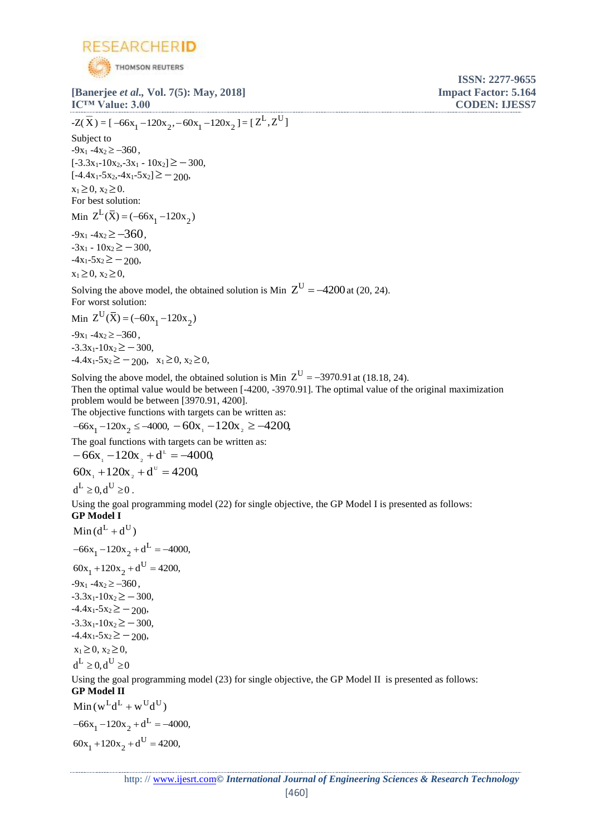

**IC™ Value: 3.00 CODEN: IJESS7**  $-Z(\overline{X}) = [-66x_1 - 120x_2, -60x_1 - 120x_2] = [Z^L, Z^U]$ Subject to  $-9x_1 -4x_2 \ge -360$ ,  $[-3.3x_1-10x_2,-3x_1-10x_2] \geq -300,$  $[-4.4x_1-5x_2,-4x_1-5x_2] \ge -200$  $x_1 \ge 0, x_2 \ge 0.$ For best solution: Min  $Z^L(\bar{X}) = (-66x_1 - 120x_2)$  $-9x_1 - 4x_2 \ge -360$ ,  $-3x_1 - 10x_2 \geq -300$  $-4x_1-5x_2 \ge -200$  $x_1 \geq 0, x_2 \geq 0,$ Solving the above model, the obtained solution is Min  $Z^U = -4200$  at (20, 24). For worst solution: Min  $Z^U(\bar{X}) = (-60x_1 - 120x_2)$  $-9x_1 - 4x_2 \ge -360$ ,  $-3.3x_1-10x_2 \ge -300$  $-4.4x_1 - 5x_2 \ge -200$ ,  $x_1 \ge 0$ ,  $x_2 \ge 0$ , Solving the above model, the obtained solution is Min  $Z^U = -3970.91$  at (18.18, 24). Then the optimal value would be between [-4200, -3970.91]. The optimal value of the original maximization problem would be between [3970.91, 4200]. The objective functions with targets can be written as:

$$
-66x_1 - 120x_2 \le -4000, -60x_1 - 120x_2 \ge -4200
$$

The goal functions with targets can be written as:

 $-66x_1 - 120x_2 + d^2 = -4000,$  $60x_1 + 120x_2 + d^v = 4200$ 

 $d^L > 0$   $d^U > 0$ 

Using the goal programming model (22) for single objective, the GP Model I is presented as follows: **GP Model I**

 $Min(d^L + d^U)$  $-66x_1 - 120x_2 + d^L = -4000,$  $60x_1 + 120x_2 + d^U = 4200,$  $-9x_1 -4x_2 \ge -360$ ,  $-3.3x_1-10x_2 \ge -300$ ,  $-4.4x_1 - 5x_2 \geq -200$  $-3.3x_1-10x_2 \ge -300$ ,  $-4.4x_1 - 5x_2 \ge -200$  $x_1 \geq 0, x_2 \geq 0,$  $d^L \geq 0$ ,  $d^U \geq 0$ Using the goal programming model (23) for single objective, the GP Model II is presented as follows:

## **GP Model II**

 $Min(w^L d^L + w^U d^U)$  $-66x_1 - 120x_2 + d^L = -4000,$  $60x_1 + 120x_2 + d^U = 4200,$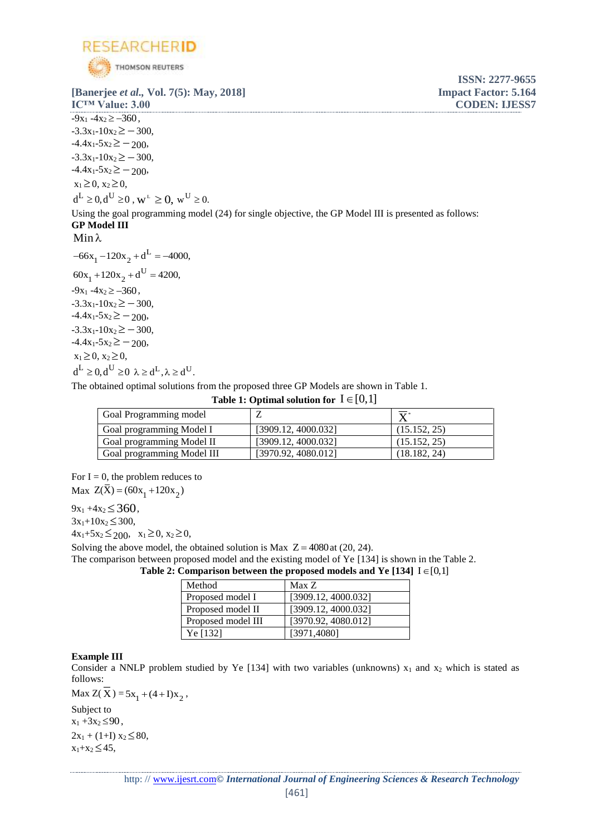

 $-9x_1 - 4x_2 \ge -360$ ,  $-3.3x_1-10x_2 \ge -300$ ,  $-4.4x_1 - 5x_2 \ge -200$  $-3.3x_1-10x_2 \ge -300$ ,  $-4.4x_1 - 5x_2 \ge -200$  $x_1 \geq 0, x_2 \geq 0,$  $d^L \geq 0, d^U \geq 0$ ,  $w^L \geq 0$ ,  $w^U \geq 0$ . Using the goal programming model (24) for single objective, the GP Model III is presented as follows: **GP Model III**  $Min \lambda$  $-66x_1 - 120x_2 + d^L = -4000,$  $60x_1 + 120x_2 + d^U = 4200,$  $-9x_1 - 4x_2 \ge -360$ .  $-3.3x_1-10x_2 \ge -300$ ,  $-4.4x_1 - 5x_2 \ge -200$  $-3.3x_1-10x_2 \ge -300$  $-4.4x_1 - 5x_2 \ge -200$  $x_1 \geq 0, x_2 \geq 0,$ 

The obtained optimal solutions from the proposed three GP Models are shown in Table 1.

**Table 1: Optimal solution for**  $I \in [0,1]$ 

| Goal Programming model     |                     | $\mathbf{v}$ |
|----------------------------|---------------------|--------------|
| Goal programming Model I   | [3909.12, 4000.032] | (15.152, 25) |
| Goal programming Model II  | [3909.12, 4000.032] | (15.152, 25) |
| Goal programming Model III | [3970.92, 4080.012] | (18.182, 24) |

For  $I = 0$ , the problem reduces to Max  $Z(X) = (60x_1 + 120x_2)$ 

 $d^L \geq 0, d^U \geq 0 \ \lambda \geq d^L, \lambda \geq d^U.$ 

 $9x_1 + 4x_2 \leq 360$ ,

 $3x_1 + 10x_2 \leq 300$ ,

 $4x_1+5x_2 \leq 200$ ,  $x_1 \geq 0$ ,  $x_2 \geq 0$ ,

Solving the above model, the obtained solution is Max  $Z = 4080$  at (20, 24).

The comparison between proposed model and the existing model of Ye [134] is shown in the Table 2.

Table 2: Comparison between the proposed models and Ye  $[134]$   $I \in [0,1]$ 

| Method             | Max Z               |
|--------------------|---------------------|
| Proposed model I   | [3909.12, 4000.032] |
| Proposed model II  | [3909.12, 4000.032] |
| Proposed model III | [3970.92, 4080.012] |
| Ye [132]           | [3971, 4080]        |

## **Example III**

Consider a NNLP problem studied by Ye [134] with two variables (unknowns)  $x_1$  and  $x_2$  which is stated as follows:

Max  $Z(X) = 5x_1 + (4+I)x_2$ ,

Subject to  $x_1 + 3x_2 \leq 90$ ,  $2x_1 + (1+I) x_2 \le 80$ ,  $x_1+x_2 \leq 45$ ,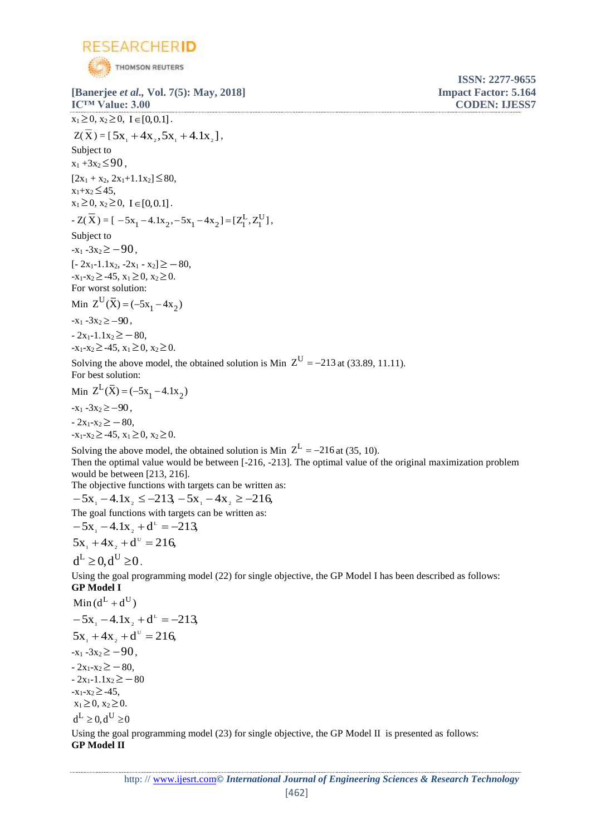

**[Banerjee** *et al.,* **Vol. 7(5): May, 2018] Impact Factor: 5.164 IC™ Value: 3.00 CODEN: IJESS7**  $x_1 \geq 0, x_2 \geq 0, I \in [0, 0.1].$  $Z(X) = [5x_1 + 4x_2, 5x_1 + 4x_2],$ Subject to  $x_1 + 3x_2 \leq 90$ ,  $[2x_1 + x_2, 2x_1 + 1.1x_2] \leq 80,$  $x_1+x_2 \leq 45$ ,  $x_1 \geq 0, x_2 \geq 0, I \in [0, 0.1].$  $-Z(X) = [-5x_1 - 4.1x_2, -5x_1 - 4x_2] = [Z_1^L, Z_1^U]$  $-5x_1 - 4.1x_2 - 5x_1 - 4x_2 = [Z_1^L, Z_1^U],$ Subject to  $-x_1 - 3x_2 \ge -90$ ,  $[-2x_1-1.1x_2, -2x_1 - x_2] \geq -80,$  $-x_1-x_2 \ge -45$ ,  $x_1 \ge 0$ ,  $x_2 \ge 0$ . For worst solution: Min  $Z^U(\bar{X}) = (-5x_1 - 4x_2)$  $-x_1 - 3x_2 \ge -90$ ,  $-2x_1-1.1x_2 \geq -80$ ,  $-x_1-x_2 \ge -45$ ,  $x_1 \ge 0$ ,  $x_2 \ge 0$ . Solving the above model, the obtained solution is Min  $Z^U = -213$  at (33.89, 11.11). For best solution: Min  $Z^L(\bar{X}) = (-5x_1 - 4.1x_2)$  $-x_1 - 3x_2 \ge -90$ ,  $-2x_1-x_2 \ge -80$ ,  $-x_1-x_2 \ge -45$ ,  $x_1 \ge 0$ ,  $x_2 \ge 0$ . Solving the above model, the obtained solution is Min  $Z^L = -216$  at (35, 10). Then the optimal value would be between [-216, -213]. The optimal value of the original maximization problem would be between [213, 216]. The objective functions with targets can be written as:  $-5x_1 - 4.1x_2 \le -213$ ,  $-5x_1 - 4x_2 \ge -216$ , The goal functions with targets can be written as:  $-5x_1 - 4.1x_2 + d^2 = -213$  $5x_1 + 4x_2 + d^0 = 216$  $d^L > 0$ ,  $d^U > 0$ . Using the goal programming model (22) for single objective, the GP Model I has been described as follows: **GP Model I**  $Min(d^L + d^U)$  $-5x_1 - 4.1x_2 + d^2 = -213$  $5x_1 + 4x_2 + d^0 = 216$  $-x_1 - 3x_2 \ge -90$ .  $-2x_1-x_2 \ge -80$ ,  $-2x_1-1.1x_2 \geq -80$  $-x_1-x_2 \ge -45$ ,  $x_1 \geq 0, x_2 \geq 0.$  $d^L \geq 0$ ,  $d^U \geq 0$ Using the goal programming model (23) for single objective, the GP Model II is presented as follows:

**ISSN: 2277-9655**

**GP Model II**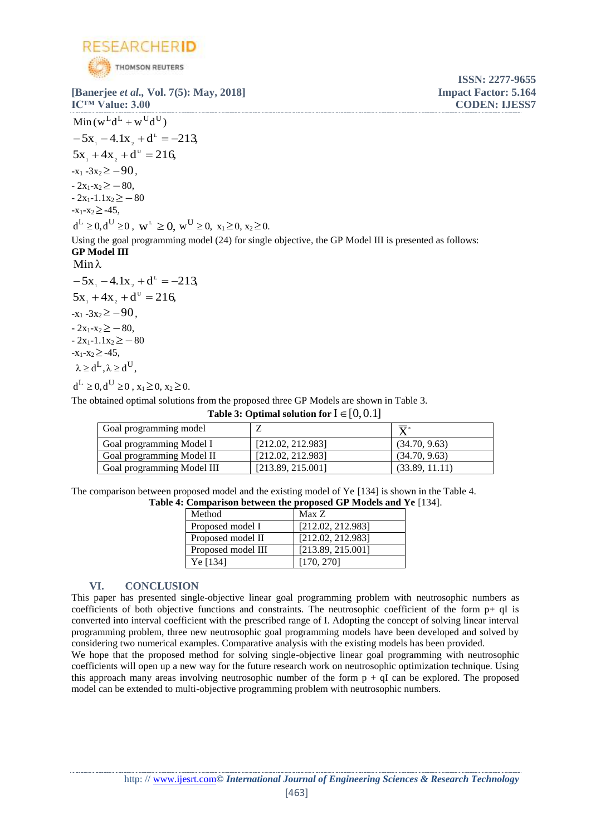

**[Banerjee** *et al.,* **Vol. 7(5): May, 2018] Impact Factor: 5.164 IC™ Value: 3.00 CODEN: IJESS7**

**ISSN: 2277-9655**

 $Min(w^L d^L + w^U d^U)$  $-5x_1 - 4.1x_2 + d^2 = -213$  $5x_1 + 4x_2 + d^0 = 216$  $-x_1 - 3x_2 \ge -90$ .  $-2x_1-x_2 \geq -80$  $-2x_1-1.1x_2 \geq -80$  $-x_1-x_2 \ge -45$ ,  $d^L \ge 0, d^U \ge 0$ ,  $w^L \ge 0$ ,  $w^U \ge 0$ ,  $x_1 \ge 0$ ,  $x_2 \ge 0$ . Using the goal programming model (24) for single objective, the GP Model III is presented as follows: **GP Model III**  $Min \lambda$  $-5x_1 - 4.1x_2 + d^2 = -213$  $5x_1 + 4x_2 + d^0 = 216$  $-x_1 - 3x_2 \ge -90$ ,  $-2x_1-x_2 \geq -80$  $-2x_1-1.1x_2 \geq -80$  $-x_1-x_2 \ge -45$ ,  $\lambda \ge d^L, \lambda \ge d^U$ ,

 $d^L \ge 0, d^U \ge 0$ ,  $x_1 \ge 0, x_2 \ge 0.$ 

The obtained optimal solutions from the proposed three GP Models are shown in Table 3.

**Table 3: Optimal solution for**  $I \in [0,0.1]$ 

| Goal programming model     |                   | $\mathbf{v}$   |
|----------------------------|-------------------|----------------|
| Goal programming Model I   | [212.02, 212.983] | (34.70, 9.63)  |
| Goal programming Model II  | [212.02, 212.983] | (34.70, 9.63)  |
| Goal programming Model III | [213.89, 215.001] | (33.89, 11.11) |

The comparison between proposed model and the existing model of Ye [134] is shown in the Table 4. **Table 4: Comparison between the proposed GP Models and Ye** [134].

| Method             | Max Z             |
|--------------------|-------------------|
| Proposed model I   | [212.02, 212.983] |
| Proposed model II  | [212.02, 212.983] |
| Proposed model III | [213.89, 215.001] |
| Ye [134]           | [170, 270]        |

## **VI. CONCLUSION**

This paper has presented single-objective linear goal programming problem with neutrosophic numbers as coefficients of both objective functions and constraints. The neutrosophic coefficient of the form  $p+ qI$  is converted into interval coefficient with the prescribed range of I. Adopting the concept of solving linear interval programming problem, three new neutrosophic goal programming models have been developed and solved by considering two numerical examples. Comparative analysis with the existing models has been provided.

We hope that the proposed method for solving single-objective linear goal programming with neutrosophic coefficients will open up a new way for the future research work on neutrosophic optimization technique. Using this approach many areas involving neutrosophic number of the form  $p + qI$  can be explored. The proposed model can be extended to multi-objective programming problem with neutrosophic numbers.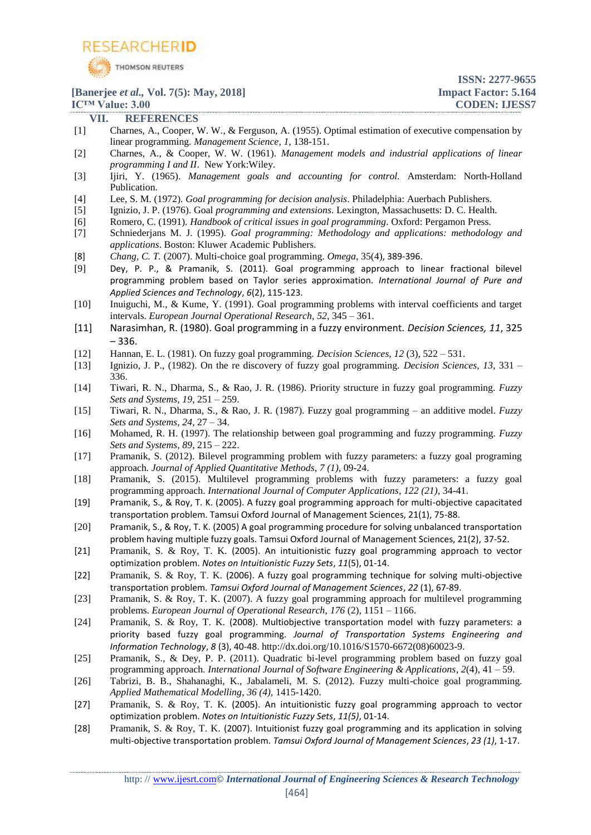

**ISSN: 2277-9655**

## **[Banerjee** *et al.,* **Vol. 7(5): May, 2018] Impact Factor: 5.164 IC<sup>™</sup> Value: 3.00 CODEN: IJESS7**

**VII. REFERENCES** [1] Charnes, A., Cooper, W. W., & Ferguson, A. (1955). Optimal estimation of executive compensation by linear programming. *Management Science, 1*, 138-151.

- [2] Charnes, A., & Cooper, W. W. (1961). *Management models and industrial applications of linear programming I and II*. New York:Wiley.
- [3] Ijiri, Y. (1965). *Management goals and accounting for control.* Amsterdam: North-Holland Publication.
- [4] Lee, S. M. (1972). *Goal programming for decision analysis*. Philadelphia: Auerbach Publishers.
- [5] Ignizio, J. P. (1976). Goal *programming and extensions*. Lexington, Massachusetts: D. C. Health.
- [6] Romero, C. (1991). *Handbook of critical issues in goal programming*. Oxford: Pergamon Press.
- [7] Schniederjans M. J. (1995). *Goal programming: Methodology and applications: methodology and applications*. Boston: Kluwer Academic Publishers.
- [8] *Chang, C. T.* (2007). Multi-choice goal programming. *[Omega](http://www.sciencedirect.com/science/journal/03050483)*, 35(4), 389-396.
- [9] Dey, P. P., & Pramanik, S. (2011). Goal programming approach to linear fractional bilevel programming problem based on Taylor series approximation. *International Journal of Pure and Applied Sciences and Technology*, *6*(2), 115-123.
- [10] Inuiguchi, M., & Kume, Y. (1991). Goal programming problems with interval coefficients and target intervals. *European Journal Operational Research, 52*, 345 – 361.
- [11] Narasimhan, R. (1980). Goal programming in a fuzzy environment. *Decision Sciences, 11*, 325 – 336.
- [12] Hannan, E. L. (1981). On fuzzy goal programming. *Decision Sciences*, *12* (3), 522 531.
- [13] Ignizio, J. P., (1982). On the re discovery of fuzzy goal programming. *Decision Sciences, 13*, 331 336.
- [14] Tiwari, R. N., Dharma, S., & Rao, J. R. (1986). Priority structure in fuzzy goal programming. *Fuzzy Sets and Systems, 19*, 251 – 259.
- [15] Tiwari, R. N., Dharma, S., & Rao, J. R. (1987). Fuzzy goal programming an additive model. *Fuzzy Sets and Systems, 24*, 27 – 34.
- [16] Mohamed, R. H. (1997). The relationship between goal programming and fuzzy programming. *Fuzzy Sets and Systems, 89*, 215 – 222.
- [17] Pramanik, S. (2012). [Bilevel programming problem with fuzzy parameters: a fuzzy goal programing](javascript:void(0))  [approach](javascript:void(0))*. Journal of Applied Quantitative Methods*, *7 (1)*, 09-24.
- [18] [Pramanik,](https://scholar.google.co.in/citations?user=vLGVDYgAAAAJ&hl=en&oi=sra) S. (2015). [Multilevel programming problems with fuzzy parameters: a fuzzy goal](http://search.proquest.com/openview/84f003afaf160622736515feec0d1f40/1?pq-origsite=gscholar&cbl=136216)  [programming approach.](http://search.proquest.com/openview/84f003afaf160622736515feec0d1f40/1?pq-origsite=gscholar&cbl=136216) *International Journal of Computer Applications*, *122 (21)*, 34-41.
- [19] Pramanik, S., & Roy, T. K. (2005). A fuzzy goal programming approach for multi-objective capacitated transportation problem. Tamsui Oxford Journal of Management Sciences, 21(1), 75-88.
- [20] Pramanik, S., & Roy, T. K. (2005) A goal programming procedure for solving unbalanced transportation problem having multiple fuzzy goals. Tamsui Oxford Journal of Management Sciences, 21(2), 37-52.
- [21] Pramanik, S. & Roy, T. K. (2005). An intuitionistic fuzzy goal programming approach to vector optimization problem. *Notes on Intuitionistic Fuzzy Sets*, *11*(5), 01-14.
- [22] Pramanik, S. & Roy, T. K. (2006). A fuzzy goal programming technique for solving multi-objective transportation problem. *Tamsui Oxford Journal of Management Sciences*, *22* (1), 67-89.
- [23] Pramanik, S. & Roy, T. K. (2007). A fuzzy goal programming approach for multilevel programming problems. *European Journal of Operational Research, 176* (2), 1151 – 1166.
- [24] Pramanik, S. & Roy, T. K. (2008). Multiobjective transportation model with fuzzy parameters: a priority based fuzzy goal programming. *Journal of Transportation Systems Engineering and Information Technology*, *8* (3), 40-48. [http://dx.doi.org/10.1016/S1570-6672\(08\)60023-9.](http://l.facebook.com/l.php?u=http%3A%2F%2Fdx.doi.org%2F10.1016%2FS1570-6672%2808%2960023-9&h=OAQE_jtTI&s=1)
- [25] Pramanik, S., & Dey, P. P. (2011). Quadratic bi-level programming problem based on fuzzy goal programming approach. *International Journal of Software Engineering & Applications*, *2*(4), 41 – 59.
- [26] Tabrizi, B. B., Shahanaghi, K., Jabalameli, M. S. (2012). Fuzzy multi-choice goal programming. *[Applied Mathematical Modelling](http://www.sciencedirect.com/science/journal/0307904X)*, *36 (4),* 1415-1420.
- [27] Pramanik, S. & Roy, T. K. (2005). An intuitionistic fuzzy goal programming approach to vector optimization problem. *Notes on Intuitionistic Fuzzy Sets*, *11(5)*, 01-14.
- [28] Pramanik, S. & Roy, T. K. (2007). Intuitionist fuzzy goal programming and its application in solving multi-objective transportation problem. *Tamsui Oxford Journal of Management Sciences*, *23 (1)*, 1-17.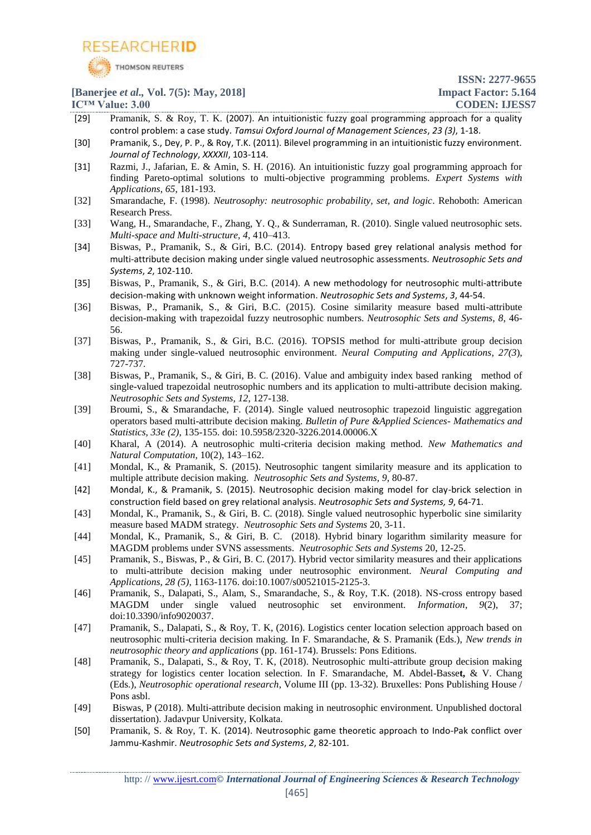

- [29] Pramanik, S. & Roy, T. K. (2007). An intuitionistic fuzzy goal programming approach for a quality control problem: a case study. *Tamsui Oxford Journal of Management Sciences*, *23 (3)*, 1-18.
- [30] Pramanik, S., Dey, P. P., & Roy, T.K. (2011). Bilevel programming in an intuitionistic fuzzy environment. *Journal of Technology*, *XXXXII*, 103-114.
- [31] [Razmi,](http://www.sciencedirect.com/science/article/pii/S0957417416304481#!) J., Jafarian, E. & Amin, S. H. (2016). An intuitionistic fuzzy goal programming approach for finding Pareto-optimal solutions to multi-objective programming problems. *Expert Systems with Applications*, *65*, 181-193.
- [32] Smarandache, F. (1998). *Neutrosophy: neutrosophic probability, set, and logic*. Rehoboth: American Research Press.
- [33] Wang, H., Smarandache, F., Zhang, Y. Q., & Sunderraman, R. (2010). Single valued neutrosophic sets. *Multi-space and Multi-structure, 4*, 410–413.
- [34] Biswas, P., Pramanik, S., & Giri, B.C. (2014). Entropy based grey relational analysis method for multi-attribute decision making under single valued neutrosophic assessments. *Neutrosophic Sets and Systems*, *2*, 102-110.
- [35] Biswas, P., Pramanik, S., & Giri, B.C. (2014). A new methodology for neutrosophic multi-attribute decision-making with unknown weight information. *Neutrosophic Sets and Systems*, *3*, 44-54.
- [36] Biswas, P., Pramanik, S., & Giri, B.C. (2015). Cosine similarity measure based multi-attribute decision-making with trapezoidal fuzzy neutrosophic numbers. *Neutrosophic Sets and Systems*, *8*, 46- 56.
- [37] Biswas, P., Pramanik, S., & Giri, B.C. (2016). TOPSIS method for multi-attribute group decision making under single-valued neutrosophic environment. *Neural Computing and Applications, 27(3*), 727-737.
- [38] Biswas, P., Pramanik, S., & Giri, B. C. (2016). Value and ambiguity index based ranking method of single-valued trapezoidal neutrosophic numbers and its application to multi-attribute decision making. *Neutrosophic Sets and Systems, 12*, 127-138.
- [39] Broumi, S., & Smarandache, F. (2014). Single valued neutrosophic trapezoid linguistic aggregation operators based multi-attribute decision making. *Bulletin of Pure &Applied Sciences- Mathematics and Statistics*, *33e (2)*, 135-155. doi: 10.5958/2320-3226.2014.00006.X
- [40] Kharal, A (2014). A neutrosophic multi-criteria decision making method. *New Mathematics and Natural Computation*, 10(2), 143–162.
- [41] Mondal, K., & Pramanik, S. (2015). Neutrosophic tangent similarity measure and its application to multiple attribute decision making. *Neutrosophic Sets and Systems, 9*, 80-87.
- [42] Mondal, K., & Pramanik, S. (2015). Neutrosophic decision making model for clay-brick selection in construction field based on grey relational analysis. *Neutrosophic Sets and Systems, 9*, 64-71.
- [43] Mondal, K., Pramanik, S., & Giri, B. C. (2018). Single valued neutrosophic hyperbolic sine similarity measure based MADM strategy. *Neutrosophic Sets and Systems* 20, 3-11.
- [44] Mondal, K., Pramanik, S., & Giri, B. C. (2018). Hybrid binary logarithm similarity measure for MAGDM problems under SVNS assessments. *Neutrosophic Sets and Systems* 20, 12-25.
- [45] Pramanik, S., Biswas, P., & Giri, B. C. (2017). Hybrid vector similarity measures and their applications to multi-attribute decision making under neutrosophic environment. *Neural Computing and Applications, 28 (5)*, 1163-1176. doi:10.1007/s00521015-2125-3.
- [46] Pramanik, S., Dalapati, S., Alam, S., Smarandache, S., & Roy, T.K. (2018). NS-cross entropy based MAGDM under single valued neutrosophic set environment. *Information*, *9*(2), 37; doi[:10.3390/info9020037.](https://doi.org/10.3390/info9020037)
- [47] Pramanik, S., Dalapati, S., & Roy, T. K, (2016). Logistics center location selection approach based on neutrosophic multi-criteria decision making. In F. Smarandache, & S. Pramanik (Eds.), *New trends in neutrosophic theory and applications* (pp. 161-174). Brussels: Pons Editions.
- [48] Pramanik, S., Dalapati, S., & Roy, T. K, (2018). Neutrosophic multi-attribute group decision making strategy for logistics center location selection. In F. Smarandache, M. Abdel-Basse**t,** & V. Chang (Eds.), *Neutrosophic operational research*, Volume III (pp. 13-32). Bruxelles: Pons Publishing House / Pons asbl.
- [49] Biswas, P (2018). Multi-attribute decision making in neutrosophic environment. Unpublished doctoral dissertation). Jadavpur University, Kolkata.
- [50] Pramanik, S. & Roy, T. K. (2014). Neutrosophic game theoretic approach to Indo-Pak conflict over Jammu-Kashmir. *Neutrosophic Sets and Systems*, *2*, 82-101.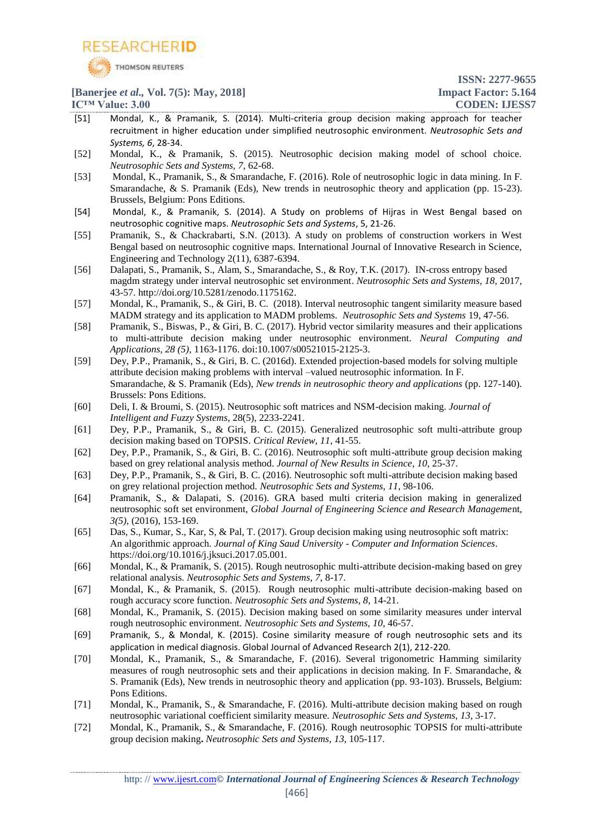

- [51] Mondal, K., & Pramanik, S. (2014). Multi-criteria group decision making approach for teacher recruitment in higher education under simplified neutrosophic environment. *Neutrosophic Sets and Systems, 6*, 28-34.
- [52] Mondal, K., & Pramanik, S. (2015). Neutrosophic decision making model of school choice. *Neutrosophic Sets and Systems, 7*, 62-68.
- [53] Mondal, K., Pramanik, S., & Smarandache, F. (2016). [Role of neutrosophic logic in data mining.](http://books.google.com/books?hl=en&lr=&id=s7OdDQAAQBAJ&oi=fnd&pg=PA15&dq=info:fh-a4z_S-gUJ:scholar.google.com&ots=GHcXwms9QH&sig=ZgUEQpcGz_v1qEB--HwmASq0Jek) In F. Smarandache, & S. Pramanik (Eds), New trends in neutrosophic theory and application (pp. 15-23). Brussels, Belgium: Pons Editions.
- [54] Mondal, K., & Pramanik, S. (2014). A Study on problems of Hijras in West Bengal based on neutrosophic cognitive maps. *Neutrosophic Sets and Systems*, 5, 21-26.
- [55] Pramanik, S., & Chackrabarti, S.N. (2013). A study on problems of construction workers in West Bengal based on neutrosophic cognitive maps. International Journal of Innovative Research in Science, Engineering and Technology 2(11), 6387-6394.
- [56] Dalapati, S., Pramanik, S., Alam, S., Smarandache, S., & Roy, T.K. (2017). [IN-cross entropy based](http://fs.gallup.unm.edu/nss/INCrossEntropy.pdf)  [magdm strategy under interval neutrosophic set environment.](http://fs.gallup.unm.edu/nss/INCrossEntropy.pdf) *Neutrosophic Sets and Systems*, *18*, 2017, 43-57. [http://doi.org/10.5281/zenodo.1175162.](http://doi.org/10.5281/zenodo.1175162)
- [57] Mondal, K., Pramanik, S., & Giri, B. C. (2018). Interval neutrosophic tangent similarity measure based MADM strategy and its application to MADM problems. *Neutrosophic Sets and Systems* 19, 47-56.
- [58] Pramanik, S., Biswas, P., & Giri, B. C. (2017). Hybrid vector similarity measures and their applications to multi-attribute decision making under neutrosophic environment. *Neural Computing and Applications, 28 (5)*, 1163-1176. doi:10.1007/s00521015-2125-3.
- [59] Dey, P.P., Pramanik, S., & Giri, B. C. (2016d). [Extended projection-based models for solving multiple](javascript:void(0))  [attribute decision making problems with interval –valued neutrosophic information.](javascript:void(0)) In F. Smarandache, & S. Pramanik (Eds), *New trends in neutrosophic theory and applications* (pp. 127-140). Brussels: Pons Editions.
- [60] Deli, I. & Broumi, S. (2015). Neutrosophic soft matrices and NSM-decision making. *Journal of Intelligent and Fuzzy Systems*, 28(5), 2233-2241.
- [61] Dey, P.P., Pramanik, S., & Giri, B. C. (2015). Generalized neutrosophic soft multi-attribute group decision making based on TOPSIS. *Critical Review, 11*, 41-55.
- [62] Dey, P.P., Pramanik, S., & Giri, B. C. (2016). Neutrosophic soft multi-attribute group decision making based on grey relational analysis method. *Journal of New Results in Science*, *10*, 25-37.
- [63] Dey, P.P., Pramanik, S., & Giri, B. C. (2016). Neutrosophic soft multi-attribute decision making based on grey relational projection method. *Neutrosophic Sets and Systems, 11*, 98-106.
- [64] Pramanik, S., & Dalapati, S. (2016). GRA based multi criteria decision making in generalized neutrosophic soft set environment, *Global Journal of Engineering Science and Research Manageme*nt, *3(5)*, (2016), 153-169.
- [65] Das, S., Kumar, S., Kar, S, & Pal, T. (2017). Group decision making using neutrosophic soft matrix: An algorithmic approach. *Journal of King Saud University - Computer and Information Sciences*. https://doi.org/10.1016/j.jksuci.2017.05.001.
- [66] Mondal, K., & Pramanik, S. (2015). Rough neutrosophic multi-attribute decision-making based on grey relational analysis. *Neutrosophic Sets and Systems*, *7*, 8-17.
- [67] Mondal, K., & Pramanik, S. (2015). Rough neutrosophic multi-attribute decision-making based on rough accuracy score function. *Neutrosophic Sets and Systems*, *8*, 14-21.
- [68] Mondal, K., Pramanik, S. (2015). Decision making based on some similarity measures under interval rough neutrosophic environment. *Neutrosophic Sets and Systems, 10*, 46-57.
- [69] Pramanik, S., & Mondal, K. (2015). Cosine similarity measure of rough neutrosophic sets and its application in medical diagnosis. Global Journal of Advanced Research 2(1), 212-220.
- [70] Mondal, K., Pramanik, S., & Smarandache, F. (2016). Several trigonometric Hamming similarity measures of rough neutrosophic sets and their applications in decision making. In F. Smarandache, & S. Pramanik (Eds), New trends in neutrosophic theory and application (pp. 93-103). Brussels, Belgium: Pons Editions.
- [71] Mondal, K., Pramanik, S., & Smarandache, F. (2016). Multi-attribute decision making based on rough neutrosophic variational coefficient similarity measure. *Neutrosophic Sets and Systems, 13*, 3-17.
- [72] Mondal, K., Pramanik, S., & Smarandache, F. (2016). Rough neutrosophic TOPSIS for multi-attribute group decision making**.** *Neutrosophic Sets and Systems, 13*, 105-117.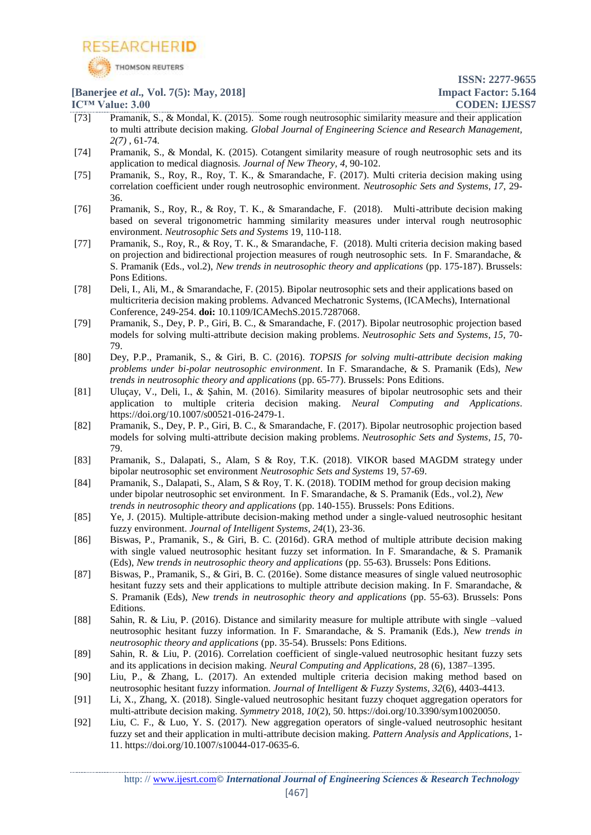![](_page_13_Picture_0.jpeg)

- [73] Pramanik, S., & Mondal, K. (2015). Some rough neutrosophic similarity measure and their application to multi attribute decision making. *Global Journal of Engineering Science and Research Management, 2(7)* , 61-74.
- [74] Pramanik, S., & Mondal, K. (2015). Cotangent similarity measure of rough neutrosophic sets and its application to medical diagnosis*. Journal of New Theory, 4*, 90-102.
- [75] Pramanik, S., Roy, R., Roy, T. K., & Smarandache, F. (2017). Multi criteria decision making using correlation coefficient under rough neutrosophic environment. *Neutrosophic Sets and Systems*, *17*, 29- 36.
- [76] Pramanik, S., Roy, R., & Roy, T. K., & Smarandache, F. (2018). Multi-attribute decision making based on several trigonometric hamming similarity measures under interval rough neutrosophic environment. *Neutrosophic Sets and Systems* 19, 110-118.
- [77] Pramanik, S., Roy, R., & Roy, T. K., & Smarandache, F. (2018). Multi criteria decision making based on projection and bidirectional projection measures of rough neutrosophic sets. In F. Smarandache, & S. Pramanik (Eds., vol.2), *New trends in neutrosophic theory and applications* (pp. 175-187). Brussels: Pons Editions.
- [78] Deli, I., Ali, M., & Smarandache, F. (2015). Bipolar neutrosophic sets and their applications based on multicriteria decision making problems. Advanced Mechatronic Systems, (ICAMechs), International Conference, 249-254. **doi:** [10.1109/ICAMechS.2015.7287068.](https://doi.org/10.1109/ICAMechS.2015.7287068)
- [79] Pramanik, S., Dey, P. P., Giri, B. C., & Smarandache, F. (2017). Bipolar neutrosophic projection based models for solving multi-attribute decision making problems. *Neutrosophic Sets and Systems*, *15*, 70- 79.
- [80] Dey, P.P., Pramanik, S., & Giri, B. C. (2016). *[TOPSIS for solving multi-attribute decision making](javascript:void(0))  [problems under bi-polar neutrosophic environment](javascript:void(0))*. In F. Smarandache, & S. Pramanik (Eds), *New trends in neutrosophic theory and applications* (pp. 65-77). Brussels: Pons Editions.
- [81] Uluçay, V., Deli, I., & Şahin, M. (2016). [Similarity measures of bipolar neutrosophic sets and their](javascript:void(0))  [application to multiple criteria decision making.](javascript:void(0)) *Neural Computing and Applications*. [https://doi.org/10.1007/s00521-016-2479-1.](https://doi.org/10.1007/s00521-016-2479-1)
- [82] Pramanik, S., Dey, P. P., Giri, B. C., & Smarandache, F. (2017). Bipolar neutrosophic projection based models for solving multi-attribute decision making problems. *Neutrosophic Sets and Systems*, *15*, 70- 79.
- [83] Pramanik, S., Dalapati, S., Alam, S & Roy, T.K. (2018). VIKOR based MAGDM strategy under bipolar neutrosophic set environment *Neutrosophic Sets and Systems* 19, 57-69.
- [84] Pramanik, S., Dalapati, S., Alam, S & Roy, T. K. (2018). TODIM method for group decision making under bipolar neutrosophic set environment. In F. Smarandache, & S. Pramanik (Eds., vol.2), *New trends in neutrosophic theory and applications* (pp. 140-155). Brussels: Pons Editions.
- [85] Ye, J. (2015). Multiple-attribute decision-making method under a single-valued neutrosophic hesitant fuzzy environment. *Journal of Intelligent Systems*, *24*(1), 23-36.
- [86] Biswas, P., Pramanik, S., & Giri, B. C. (2016d). [GRA method of multiple attribute decision making](javascript:void(0))  [with single valued neutrosophic hesitant fuzzy set information.](javascript:void(0)) In F. Smarandache, & S. Pramanik (Eds), *New trends in neutrosophic theory and applications* (pp. 55-63). Brussels: Pons Editions.
- [87] Biswas, P., Pramanik, S., & Giri, B. C. (2016e). [Some distance measures of single valued neutrosophic](javascript:void(0))  [hesitant fuzzy sets and their applications to multiple attribute decision making.](javascript:void(0)) In F. Smarandache, & S. Pramanik (Eds), *New trends in neutrosophic theory and applications* (pp. 55-63). Brussels: Pons Editions.
- [88] Sahin, R. & Liu, P. (2016). Distance and similarity measure for multiple attribute with single –valued neutrosophic hesitant fuzzy information. In F. Smarandache, & S. Pramanik (Eds.), *New trends in neutrosophic theory and applications* (pp. 35-54). Brussels: Pons Editions.
- [89] Sahin, R. & Liu, P. (2016). Correlation coefficient of single-valued neutrosophic hesitant fuzzy sets and its applications in decision making. *Neural Computing and Applications,* 28 (6), 1387–1395.
- [90] Liu, P., & Zhang, L. (2017). An extended multiple criteria decision making method based on neutrosophic hesitant fuzzy information. *Journal of Intelligent & Fuzzy Systems*, *32*(6), 4403-4413.
- [91] Li, X., Zhang, X. (2018). Single-valued neutrosophic hesitant fuzzy choquet aggregation operators for multi-attribute decision making. *Symmetry* 2018, *10*(2), 50[. https://doi.org/10.3390/sym10020050.](https://doi.org/10.3390/sym10020050)
- [92] Liu, C. F., & Luo, Y. S. (2017). New aggregation operators of single-valued neutrosophic hesitant fuzzy set and their application in multi-attribute decision making. *Pattern Analysis and Applications*, 1- 11. https://doi.org/10.1007/s10044-017-0635-6.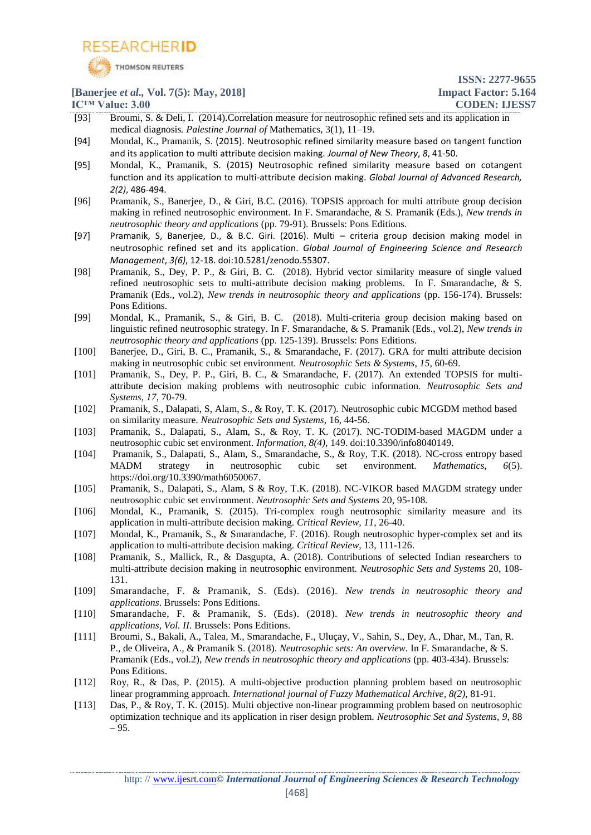![](_page_14_Picture_0.jpeg)

- [93] Broumi, S. & Deli, I. (2014).Correlation measure for neutrosophic refined sets and its application in medical diagnosis*. Palestine Journal of* Mathematics, 3(1), 11–19.
- [94] Mondal, K., Pramanik, S. (2015). Neutrosophic refined similarity measure based on tangent function and its application to multi attribute decision making. *Journal of New Theory*, *8*, 41-50.
- [95] Mondal, K., Pramanik, S. (2015) Neutrosophic refined similarity measure based on cotangent function and its application to multi-attribute decision making. *Global Journal of Advanced Research, 2(2)*, 486-494.
- [96] Pramanik, S., Banerjee, D., & Giri, B.C. (2016). [TOPSIS approach for multi attribute group decision](http://www.gallup.unm.edu/~smarandache/TOPSISApproachForMultiAttribute.pdf)  [making in refined neutrosophic environment.](http://www.gallup.unm.edu/~smarandache/TOPSISApproachForMultiAttribute.pdf) In F. Smarandache, & S. Pramanik (Eds.), *New trends in neutrosophic theory and applications* (pp. 79-91). Brussels: Pons Editions.
- [97] Pramanik, S, Banerjee, D., & B.C. Giri. (2016). Multi criteria group decision making model in neutrosophic refined set and its application. *Global Journal of Engineering Science and Research Management*, *3(6)*, 12-18. doi:10.5281/zenodo.55307.
- [98] Pramanik, S., Dey, P. P., & Giri, B. C. (2018). Hybrid vector similarity measure of single valued refined neutrosophic sets to multi-attribute decision making problems. In F. Smarandache, & S. Pramanik (Eds., vol.2), *New trends in neutrosophic theory and applications* (pp. 156-174). Brussels: Pons Editions.
- [99] Mondal, K., Pramanik, S., & Giri, B. C. (2018). Multi-criteria group decision making based on linguistic refined neutrosophic strategy. In F. Smarandache, & S. Pramanik (Eds., vol.2), *New trends in neutrosophic theory and applications* (pp. 125-139). Brussels: Pons Editions.
- [100] Banerjee, D., Giri, B. C., Pramanik, S., & Smarandache, F. (2017). GRA for multi attribute decision making in neutrosophic cubic set environment. *Neutrosophic Sets & Systems*, *15*, 60-69.
- [101] Pramanik, S., Dey, P. P., Giri, B. C., & Smarandache, F. (2017). An extended TOPSIS for multiattribute decision making problems with neutrosophic cubic information. *Neutrosophic Sets and Systems*, *17*, 70-79.
- [102] Pramanik, S., Dalapati, S, Alam, S., & Roy, T. K. (2017). [Neutrosophic cubic MCGDM method based](https://scholar.google.co.in/citations?view_op=view_citation&hl=en&user=vLGVDYgAAAAJ&sortby=pubdate&citation_for_view=vLGVDYgAAAAJ:cF7EPgIk0B4C)  [on similarity measure](https://scholar.google.co.in/citations?view_op=view_citation&hl=en&user=vLGVDYgAAAAJ&sortby=pubdate&citation_for_view=vLGVDYgAAAAJ:cF7EPgIk0B4C)*. Neutrosophic Sets and Systems,* 16, 44-56.
- [103] Pramanik, S., Dalapati, S., Alam, S., & Roy, T. K. (2017). NC-TODIM-based MAGDM under a neutrosophic cubic set environment. *Information*, *8(4)*, 149. doi[:10.3390/info8040149.](http://dx.doi.org/10.3390/info8040149)
- [104] Pramanik, S., Dalapati, S., Alam, S., Smarandache, S., & Roy, T.K. (2018). [NC-cross entropy based](javascript:void(0))  [MADM strategy in neutrosophic cubic set environment.](javascript:void(0)) *Mathematics*, *6*(5). [https://doi.org/10.3390/math6050067.](https://doi.org/10.3390/math6050067)
- [105] Pramanik, S., Dalapati, S., Alam, S & Roy, T.K. (2018). NC-VIKOR based MAGDM strategy under neutrosophic cubic set environment. *Neutrosophic Sets and Systems* 20, 95-108.
- [106] Mondal, K., Pramanik, S. (2015). Tri-complex rough neutrosophic similarity measure and its application in multi-attribute decision making. *Critical Review, 11*, 26-40.
- [107] Mondal, K., Pramanik, S., & Smarandache, F. (2016). Rough neutrosophic hyper-complex set and its application to multi-attribute decision making. *Critical Review,* 13, 111-126.
- [108] Pramanik, S., Mallick, R., & Dasgupta, A. (2018). Contributions of selected Indian researchers to multi-attribute decision making in neutrosophic environment. *Neutrosophic Sets and Systems* 20, 108- 131.
- [109] Smarandache, F. & Pramanik, S. (Eds). (2016). *New trends in neutrosophic theory and applications*. Brussels: Pons Editions.
- [110] Smarandache, F. & Pramanik, S. (Eds). (2018). *New trends in neutrosophic theory and applications, Vol. II*. Brussels: Pons Editions.
- [111] Broumi, S., Bakali, A., Talea, M., Smarandache, F., Uluçay, V., Sahin, S., Dey, A., Dhar, M., Tan, R. P., de Oliveira, A., & Pramanik S. (2018). *Neutrosophic sets: An overview.* In F. Smarandache, & S. Pramanik (Eds., vol.2), *New trends in neutrosophic theory and applications* (pp. 403-434). Brussels: Pons Editions.
- [112] Roy, R., & Das, P. (2015). A multi-objective production planning problem based on neutrosophic linear programming approach. *International journal of Fuzzy Mathematical Archive, 8(2)*, 81-91.
- [113] Das, P., & Roy, T. K. (2015). Multi objective non-linear programming problem based on neutrosophic optimization technique and its application in riser design problem. *Neutrosophic Set and Systems, 9*, 88 – 95.